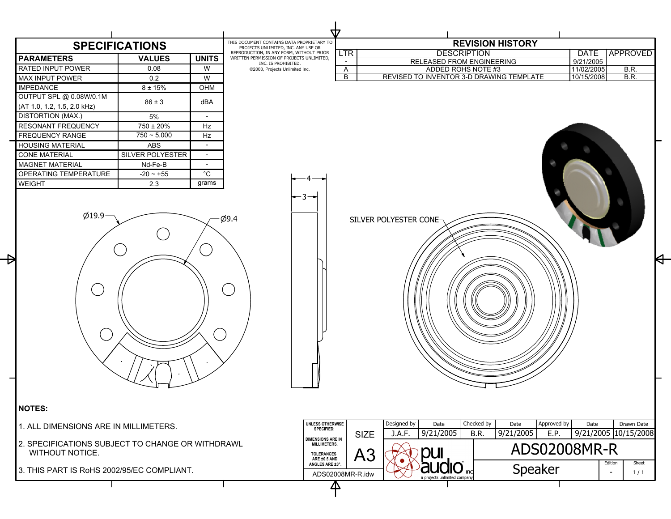| <b>SPECIFICATIONS</b>                 |                                                  |                          | THIS DOCUMENT CONTAINS DATA PROPRIETARY TO<br>PROJECTS UNLIMITED, INC. ANY USE OR     | <b>REVISION HISTORY</b>       |                                                                                 |                                          |                         |                                    |
|---------------------------------------|--------------------------------------------------|--------------------------|---------------------------------------------------------------------------------------|-------------------------------|---------------------------------------------------------------------------------|------------------------------------------|-------------------------|------------------------------------|
| <b>PARAMETERS</b>                     | <b>VALUES</b>                                    | <b>UNITS</b>             | REPRODUCTION, IN ANY FORM, WITHOUT PRIOR<br>WRITTEN PERMISSION OF PROJECTS UNLIMITED, | <b>LTR</b>                    | <b>DESCRIPTION</b>                                                              |                                          | <b>DATE</b>             | <b>APPROVED</b>                    |
| RATED INPUT POWER                     | 0.08                                             | W                        | INC. IS PROHIBITED.<br>©2003, Projects Unlimited Inc.                                 | $\overline{\phantom{a}}$<br>A | <b>RELEASED FROM ENGINEERING</b><br>ADDED ROHS NOTE #3                          |                                          | 9/21/2005<br>11/02/2005 | B.R.                               |
| <b>MAX INPUT POWER</b>                | 0.2                                              | W                        |                                                                                       | B                             | REVISED TO INVENTOR 3-D DRAWING TEMPLATE                                        |                                          | 10/15/2008              | B.R.                               |
| <b>IMPEDANCE</b>                      | $8 \pm 15\%$                                     | OHM                      |                                                                                       |                               |                                                                                 |                                          |                         |                                    |
| OUTPUT SPL @ 0.08W/0.1M               |                                                  |                          |                                                                                       |                               |                                                                                 |                                          |                         |                                    |
| (AT 1.0, 1.2, 1.5, 2.0 kHz)           | $86 \pm 3$                                       | dBA                      |                                                                                       |                               |                                                                                 |                                          |                         |                                    |
| <b>DISTORTION (MAX.)</b>              | 5%                                               | $\overline{\phantom{a}}$ |                                                                                       |                               |                                                                                 |                                          |                         |                                    |
| <b>RESONANT FREQUENCY</b>             | 750 ± 20%                                        | Hz                       |                                                                                       |                               |                                                                                 |                                          |                         |                                    |
| FREQUENCY RANGE                       | $750 - 5.000$                                    | Hz                       |                                                                                       |                               |                                                                                 |                                          |                         |                                    |
| <b>HOUSING MATERIAL</b>               | ABS                                              | $\overline{\phantom{0}}$ |                                                                                       |                               |                                                                                 |                                          |                         |                                    |
| <b>CONE MATERIAL</b>                  | SILVER POLYESTER                                 | $\overline{\phantom{a}}$ |                                                                                       |                               |                                                                                 |                                          |                         |                                    |
| <b>MAGNET MATERIAL</b>                | Nd-Fe-B                                          |                          |                                                                                       |                               |                                                                                 |                                          |                         |                                    |
| OPERATING TEMPERATURE                 | $-20 - +55$                                      | $^{\circ}$ C             |                                                                                       |                               |                                                                                 |                                          |                         |                                    |
| <b>WEIGHT</b>                         | 2.3                                              | grams                    |                                                                                       |                               |                                                                                 |                                          |                         |                                    |
|                                       |                                                  |                          |                                                                                       |                               |                                                                                 |                                          |                         |                                    |
| <b>NOTES:</b>                         |                                                  |                          |                                                                                       |                               |                                                                                 |                                          |                         |                                    |
| 1. ALL DIMENSIONS ARE IN MILLIMETERS. |                                                  |                          | UNLESS OTHERWISE<br><b>SPECIFIED:</b>                                                 |                               | Checked by<br>Designed by<br>Date<br>9/21/2005<br>J.A.F.<br>B.R.<br><b>SIZE</b> | Approved by<br>Date<br>9/21/2005<br>E.P. | Date                    | Drawn Date<br>9/21/2005 10/15/2008 |
|                                       | 2. SPECIFICATIONS SUBJECT TO CHANGE OR WITHDRAWL |                          | <b>DIMENSIONS ARE IN</b><br>MILLIMETERS,<br><b>TOLERANCES</b>                         |                               |                                                                                 | ADS02008MR-R                             |                         |                                    |
| WITHOUT NOTICE.                       |                                                  |                          | ARE ±0.5 AND                                                                          |                               | <b>DUI</b><br>A3                                                                |                                          |                         | Sheet<br>Edition                   |